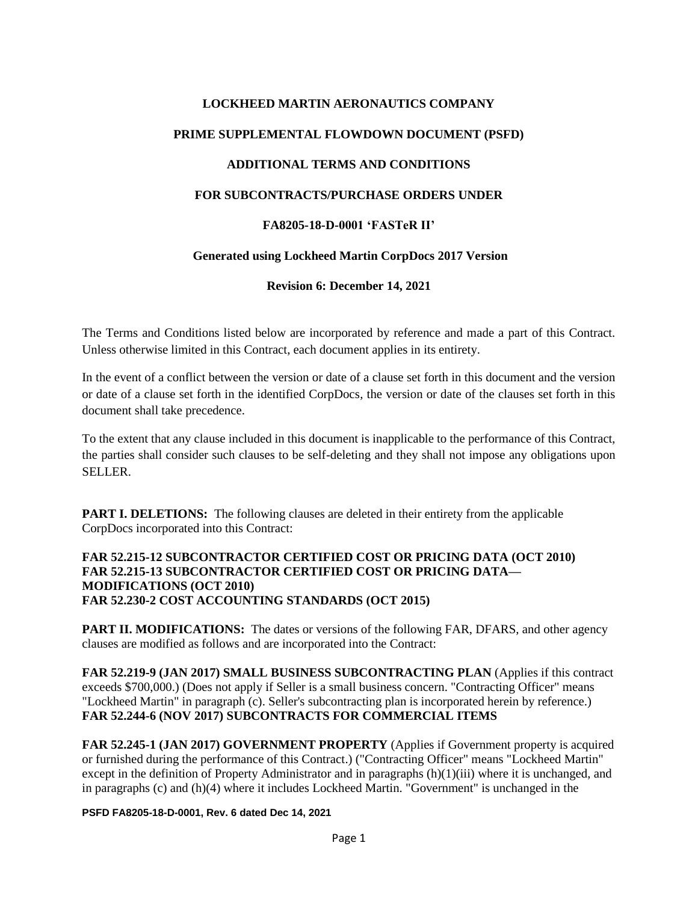# **LOCKHEED MARTIN AERONAUTICS COMPANY PRIME SUPPLEMENTAL FLOWDOWN DOCUMENT (PSFD) ADDITIONAL TERMS AND CONDITIONS FOR SUBCONTRACTS/PURCHASE ORDERS UNDER FA8205-18-D-0001 'FASTeR II' Generated using Lockheed Martin CorpDocs 2017 Version**

**Revision 6: December 14, 2021**

The Terms and Conditions listed below are incorporated by reference and made a part of this Contract. Unless otherwise limited in this Contract, each document applies in its entirety.

In the event of a conflict between the version or date of a clause set forth in this document and the version or date of a clause set forth in the identified CorpDocs, the version or date of the clauses set forth in this document shall take precedence.

To the extent that any clause included in this document is inapplicable to the performance of this Contract, the parties shall consider such clauses to be self-deleting and they shall not impose any obligations upon SELLER.

**PART I. DELETIONS:** The following clauses are deleted in their entirety from the applicable CorpDocs incorporated into this Contract:

#### **FAR 52.215-12 SUBCONTRACTOR CERTIFIED COST OR PRICING DATA (OCT 2010) FAR 52.215-13 SUBCONTRACTOR CERTIFIED COST OR PRICING DATA— MODIFICATIONS (OCT 2010) FAR 52.230-2 COST ACCOUNTING STANDARDS (OCT 2015)**

**PART II. MODIFICATIONS:** The dates or versions of the following FAR, DFARS, and other agency clauses are modified as follows and are incorporated into the Contract:

**FAR 52.219-9 (JAN 2017) SMALL BUSINESS SUBCONTRACTING PLAN** (Applies if this contract exceeds \$700,000.) (Does not apply if Seller is a small business concern. "Contracting Officer" means "Lockheed Martin" in paragraph (c). Seller's subcontracting plan is incorporated herein by reference.) **FAR 52.244-6 (NOV 2017) SUBCONTRACTS FOR COMMERCIAL ITEMS**

**FAR 52.245-1 (JAN 2017) GOVERNMENT PROPERTY** (Applies if Government property is acquired or furnished during the performance of this Contract.) ("Contracting Officer" means "Lockheed Martin" except in the definition of Property Administrator and in paragraphs (h)(1)(iii) where it is unchanged, and in paragraphs (c) and (h)(4) where it includes Lockheed Martin. "Government" is unchanged in the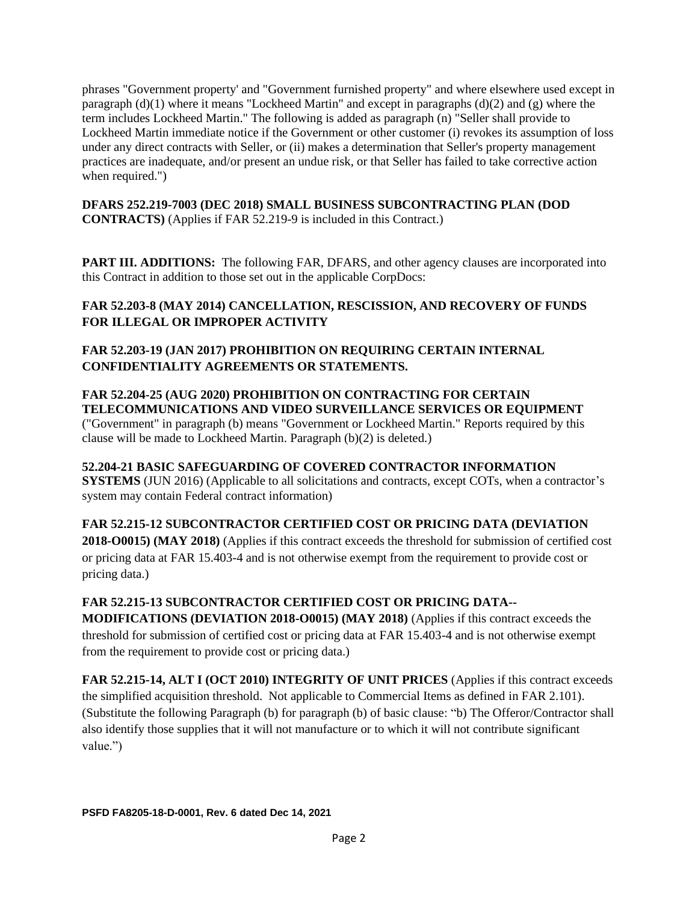phrases "Government property' and "Government furnished property" and where elsewhere used except in paragraph (d)(1) where it means "Lockheed Martin" and except in paragraphs (d)(2) and (g) where the term includes Lockheed Martin." The following is added as paragraph (n) "Seller shall provide to Lockheed Martin immediate notice if the Government or other customer (i) revokes its assumption of loss under any direct contracts with Seller, or (ii) makes a determination that Seller's property management practices are inadequate, and/or present an undue risk, or that Seller has failed to take corrective action when required.")

**DFARS 252.219-7003 (DEC 2018) SMALL BUSINESS SUBCONTRACTING PLAN (DOD CONTRACTS)** (Applies if FAR 52.219-9 is included in this Contract.)

**PART III. ADDITIONS:** The following FAR, DFARS, and other agency clauses are incorporated into this Contract in addition to those set out in the applicable CorpDocs:

#### **FAR 52.203-8 (MAY 2014) CANCELLATION, RESCISSION, AND RECOVERY OF FUNDS FOR ILLEGAL OR IMPROPER ACTIVITY**

#### **FAR 52.203-19 (JAN 2017) PROHIBITION ON REQUIRING CERTAIN INTERNAL CONFIDENTIALITY AGREEMENTS OR STATEMENTS.**

**FAR 52.204-25 (AUG 2020) PROHIBITION ON CONTRACTING FOR CERTAIN TELECOMMUNICATIONS AND VIDEO SURVEILLANCE SERVICES OR EQUIPMENT**  ("Government" in paragraph (b) means "Government or Lockheed Martin." Reports required by this clause will be made to Lockheed Martin. Paragraph (b)(2) is deleted.)

**52.204-21 BASIC SAFEGUARDING OF COVERED CONTRACTOR INFORMATION SYSTEMS** (JUN 2016) (Applicable to all solicitations and contracts, except COTs, when a contractor's system may contain Federal contract information)

**FAR 52.215-12 SUBCONTRACTOR CERTIFIED COST OR PRICING DATA (DEVIATION 2018-O0015) (MAY 2018)** (Applies if this contract exceeds the threshold for submission of certified cost or pricing data at FAR 15.403-4 and is not otherwise exempt from the requirement to provide cost or pricing data.)

#### **FAR 52.215-13 SUBCONTRACTOR CERTIFIED COST OR PRICING DATA--**

**MODIFICATIONS (DEVIATION 2018-O0015) (MAY 2018)** (Applies if this contract exceeds the threshold for submission of certified cost or pricing data at FAR 15.403-4 and is not otherwise exempt from the requirement to provide cost or pricing data.)

**FAR 52.215-14, ALT I (OCT 2010) INTEGRITY OF UNIT PRICES** (Applies if this contract exceeds the simplified acquisition threshold. Not applicable to Commercial Items as defined in FAR 2.101). (Substitute the following Paragraph (b) for paragraph (b) of basic clause: "b) The Offeror/Contractor shall also identify those supplies that it will not manufacture or to which it will not contribute significant value.")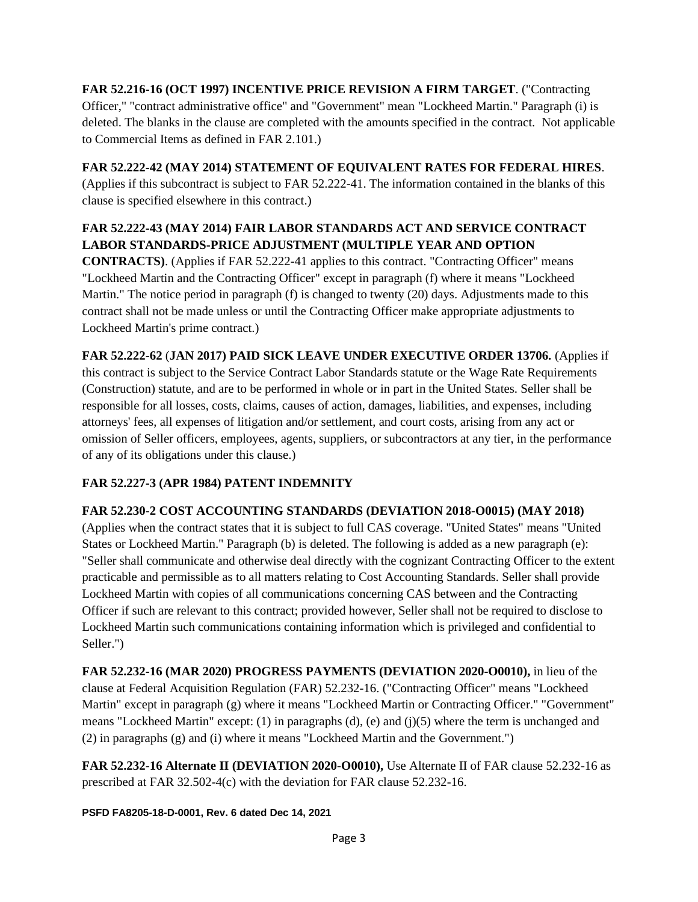#### **FAR 52.216-16 (OCT 1997) INCENTIVE PRICE REVISION A FIRM TARGET**. ("Contracting Officer," "contract administrative office" and "Government" mean "Lockheed Martin." Paragraph (i) is deleted. The blanks in the clause are completed with the amounts specified in the contract. Not applicable to Commercial Items as defined in FAR 2.101.)

## **FAR 52.222-42 (MAY 2014) STATEMENT OF EQUIVALENT RATES FOR FEDERAL HIRES**.

(Applies if this subcontract is subject to FAR 52.222-41. The information contained in the blanks of this clause is specified elsewhere in this contract.)

# **FAR 52.222-43 (MAY 2014) FAIR LABOR STANDARDS ACT AND SERVICE CONTRACT LABOR STANDARDS-PRICE ADJUSTMENT (MULTIPLE YEAR AND OPTION**

**CONTRACTS)**. (Applies if FAR 52.222-41 applies to this contract. "Contracting Officer" means "Lockheed Martin and the Contracting Officer" except in paragraph (f) where it means "Lockheed Martin." The notice period in paragraph (f) is changed to twenty (20) days. Adjustments made to this contract shall not be made unless or until the Contracting Officer make appropriate adjustments to Lockheed Martin's prime contract.)

**FAR 52.222-62** (**JAN 2017) PAID SICK LEAVE UNDER EXECUTIVE ORDER 13706.** (Applies if this contract is subject to the Service Contract Labor Standards statute or the Wage Rate Requirements (Construction) statute, and are to be performed in whole or in part in the United States. Seller shall be responsible for all losses, costs, claims, causes of action, damages, liabilities, and expenses, including attorneys' fees, all expenses of litigation and/or settlement, and court costs, arising from any act or omission of Seller officers, employees, agents, suppliers, or subcontractors at any tier, in the performance of any of its obligations under this clause.)

# **FAR 52.227-3 (APR 1984) PATENT INDEMNITY**

#### **FAR 52.230-2 COST ACCOUNTING STANDARDS (DEVIATION 2018-O0015) (MAY 2018)**

(Applies when the contract states that it is subject to full CAS coverage. "United States" means "United States or Lockheed Martin." Paragraph (b) is deleted. The following is added as a new paragraph (e): "Seller shall communicate and otherwise deal directly with the cognizant Contracting Officer to the extent practicable and permissible as to all matters relating to Cost Accounting Standards. Seller shall provide Lockheed Martin with copies of all communications concerning CAS between and the Contracting Officer if such are relevant to this contract; provided however, Seller shall not be required to disclose to Lockheed Martin such communications containing information which is privileged and confidential to Seller.")

**FAR 52.232-16 (MAR 2020) PROGRESS PAYMENTS (DEVIATION 2020-O0010),** in lieu of the clause at Federal Acquisition Regulation (FAR) 52.232-16. ("Contracting Officer" means "Lockheed Martin" except in paragraph (g) where it means "Lockheed Martin or Contracting Officer." "Government" means "Lockheed Martin" except: (1) in paragraphs (d), (e) and (j)(5) where the term is unchanged and (2) in paragraphs (g) and (i) where it means "Lockheed Martin and the Government.")

**FAR 52.232-16 Alternate II (DEVIATION 2020-O0010),** Use Alternate II of FAR clause 52.232-16 as prescribed at FAR 32.502-4(c) with the deviation for FAR clause 52.232-16.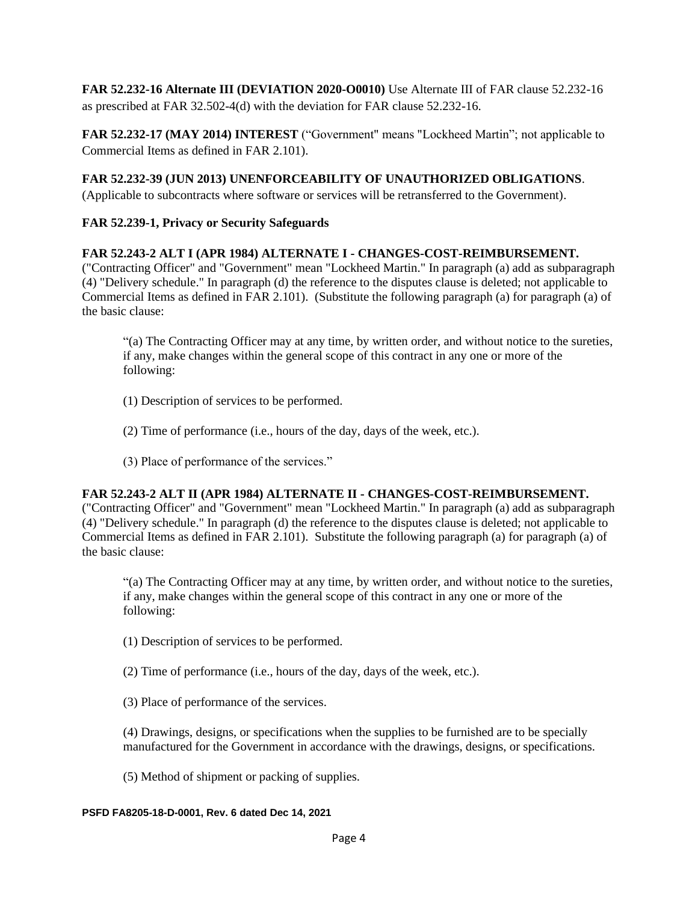**FAR 52.232-16 Alternate III (DEVIATION 2020-O0010)** Use Alternate III of FAR clause 52.232-16 as prescribed at FAR 32.502-4(d) with the deviation for FAR clause 52.232-16.

**FAR 52.232-17 (MAY 2014) INTEREST** ("Government" means "Lockheed Martin"; not applicable to Commercial Items as defined in FAR 2.101).

#### **FAR 52.232-39 (JUN 2013) UNENFORCEABILITY OF UNAUTHORIZED OBLIGATIONS**.

(Applicable to subcontracts where software or services will be retransferred to the Government).

#### **FAR 52.239-1, Privacy or Security Safeguards**

#### **FAR 52.243-2 ALT I (APR 1984) ALTERNATE I - CHANGES-COST-REIMBURSEMENT.**

("Contracting Officer" and "Government" mean "Lockheed Martin." In paragraph (a) add as subparagraph (4) "Delivery schedule." In paragraph (d) the reference to the disputes clause is deleted; not applicable to Commercial Items as defined in FAR 2.101). (Substitute the following paragraph (a) for paragraph (a) of the basic clause:

"(a) The Contracting Officer may at any time, by written order, and without notice to the sureties, if any, make changes within the general scope of this contract in any one or more of the following:

- (1) Description of services to be performed.
- (2) Time of performance (i.e., hours of the day, days of the week, etc.).
- (3) Place of performance of the services."

#### **FAR 52.243-2 ALT II (APR 1984) ALTERNATE II - CHANGES-COST-REIMBURSEMENT.**

("Contracting Officer" and "Government" mean "Lockheed Martin." In paragraph (a) add as subparagraph (4) "Delivery schedule." In paragraph (d) the reference to the disputes clause is deleted; not applicable to Commercial Items as defined in FAR 2.101). Substitute the following paragraph (a) for paragraph (a) of the basic clause:

"(a) The Contracting Officer may at any time, by written order, and without notice to the sureties, if any, make changes within the general scope of this contract in any one or more of the following:

(1) Description of services to be performed.

(2) Time of performance (i.e., hours of the day, days of the week, etc.).

(3) Place of performance of the services.

(4) Drawings, designs, or specifications when the supplies to be furnished are to be specially manufactured for the Government in accordance with the drawings, designs, or specifications.

(5) Method of shipment or packing of supplies.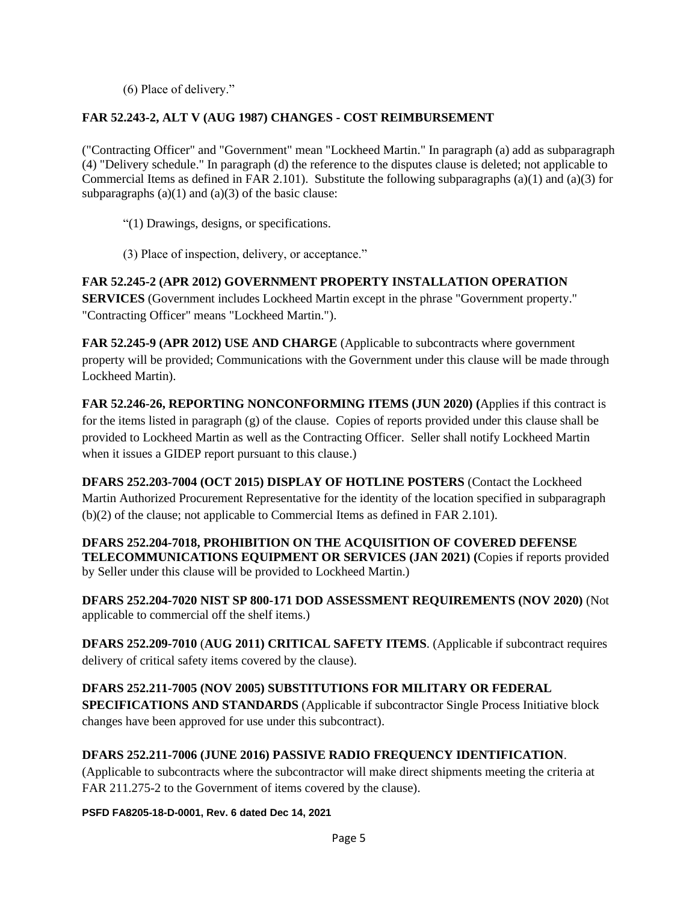(6) Place of delivery."

#### **FAR 52.243-2, ALT V (AUG 1987) CHANGES - COST REIMBURSEMENT**

("Contracting Officer" and "Government" mean "Lockheed Martin." In paragraph (a) add as subparagraph (4) "Delivery schedule." In paragraph (d) the reference to the disputes clause is deleted; not applicable to Commercial Items as defined in FAR 2.101). Substitute the following subparagraphs (a)(1) and (a)(3) for subparagraphs  $(a)(1)$  and  $(a)(3)$  of the basic clause:

"(1) Drawings, designs, or specifications.

(3) Place of inspection, delivery, or acceptance."

## **FAR 52.245-2 (APR 2012) GOVERNMENT PROPERTY INSTALLATION OPERATION**

**SERVICES** (Government includes Lockheed Martin except in the phrase "Government property." "Contracting Officer" means "Lockheed Martin.").

**FAR 52.245-9 (APR 2012) USE AND CHARGE** (Applicable to subcontracts where government property will be provided; Communications with the Government under this clause will be made through Lockheed Martin).

**FAR 52.246-26, REPORTING NONCONFORMING ITEMS (JUN 2020) (**Applies if this contract is for the items listed in paragraph  $(g)$  of the clause. Copies of reports provided under this clause shall be provided to Lockheed Martin as well as the Contracting Officer. Seller shall notify Lockheed Martin when it issues a GIDEP report pursuant to this clause.)

**DFARS 252.203-7004 (OCT 2015) DISPLAY OF HOTLINE POSTERS** (Contact the Lockheed Martin Authorized Procurement Representative for the identity of the location specified in subparagraph (b)(2) of the clause; not applicable to Commercial Items as defined in FAR 2.101).

**DFARS 252.204-7018, PROHIBITION ON THE ACQUISITION OF COVERED DEFENSE TELECOMMUNICATIONS EQUIPMENT OR SERVICES (JAN 2021) (**Copies if reports provided by Seller under this clause will be provided to Lockheed Martin.)

**DFARS 252.204-7020 NIST SP 800-171 DOD ASSESSMENT REQUIREMENTS (NOV 2020)** (Not applicable to commercial off the shelf items.)

**DFARS 252.209-7010** (**AUG 2011) CRITICAL SAFETY ITEMS**. (Applicable if subcontract requires delivery of critical safety items covered by the clause).

**DFARS 252.211-7005 (NOV 2005) SUBSTITUTIONS FOR MILITARY OR FEDERAL SPECIFICATIONS AND STANDARDS** (Applicable if subcontractor Single Process Initiative block changes have been approved for use under this subcontract).

#### **DFARS 252.211-7006 (JUNE 2016) PASSIVE RADIO FREQUENCY IDENTIFICATION**.

(Applicable to subcontracts where the subcontractor will make direct shipments meeting the criteria at FAR 211.275-2 to the Government of items covered by the clause).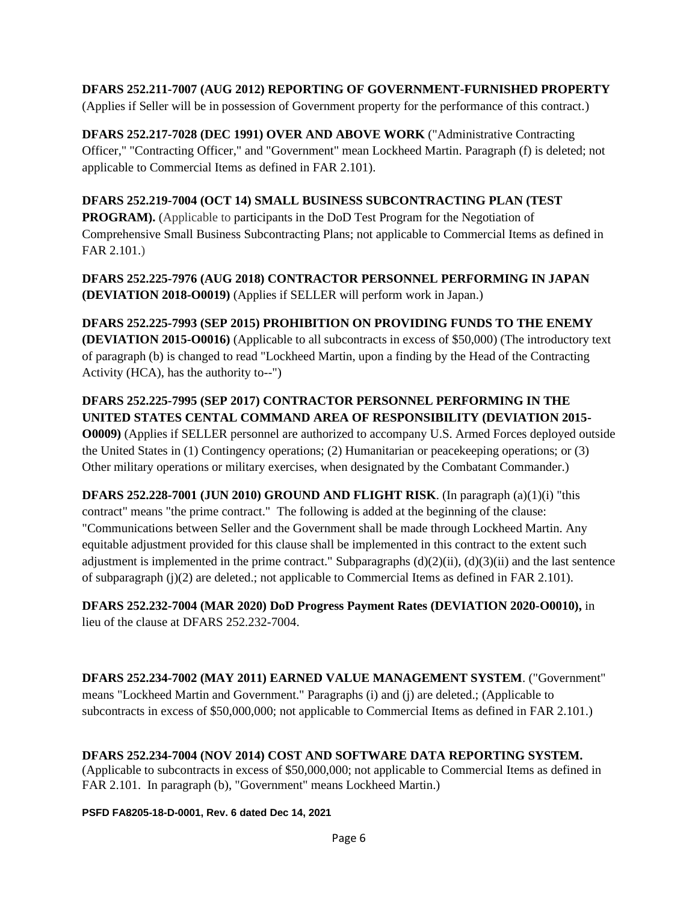# **DFARS 252.211-7007 (AUG 2012) REPORTING OF GOVERNMENT-FURNISHED PROPERTY**

(Applies if Seller will be in possession of Government property for the performance of this contract.)

**DFARS 252.217-7028 (DEC 1991) OVER AND ABOVE WORK** ("Administrative Contracting Officer," "Contracting Officer," and "Government" mean Lockheed Martin. Paragraph (f) is deleted; not applicable to Commercial Items as defined in FAR 2.101).

#### **DFARS 252.219-7004 (OCT 14) SMALL BUSINESS SUBCONTRACTING PLAN (TEST**

**PROGRAM).** (Applicable to participants in the DoD Test Program for the Negotiation of Comprehensive Small Business Subcontracting Plans; not applicable to Commercial Items as defined in FAR 2.101.)

**DFARS 252.225-7976 (AUG 2018) CONTRACTOR PERSONNEL PERFORMING IN JAPAN (DEVIATION 2018-O0019)** (Applies if SELLER will perform work in Japan.)

**DFARS 252.225-7993 (SEP 2015) PROHIBITION ON PROVIDING FUNDS TO THE ENEMY (DEVIATION 2015-O0016)** (Applicable to all subcontracts in excess of \$50,000) (The introductory text of paragraph (b) is changed to read "Lockheed Martin, upon a finding by the Head of the Contracting Activity (HCA), has the authority to--")

#### **DFARS 252.225-7995 (SEP 2017) CONTRACTOR PERSONNEL PERFORMING IN THE UNITED STATES CENTAL COMMAND AREA OF RESPONSIBILITY (DEVIATION 2015- O0009)** (Applies if SELLER personnel are authorized to accompany U.S. Armed Forces deployed outside the United States in (1) Contingency operations; (2) Humanitarian or peacekeeping operations; or (3) Other military operations or military exercises, when designated by the Combatant Commander.)

**DFARS 252.228-7001 (JUN 2010) GROUND AND FLIGHT RISK**. (In paragraph (a)(1)(i) "this contract" means "the prime contract." The following is added at the beginning of the clause: "Communications between Seller and the Government shall be made through Lockheed Martin. Any equitable adjustment provided for this clause shall be implemented in this contract to the extent such adjustment is implemented in the prime contract." Subparagraphs  $(d)(2)(ii)$ ,  $(d)(3)(ii)$  and the last sentence of subparagraph (j)(2) are deleted.; not applicable to Commercial Items as defined in FAR 2.101).

**DFARS 252.232-7004 (MAR 2020) DoD Progress Payment Rates (DEVIATION 2020-O0010),** in lieu of the clause at DFARS 252.232-7004.

**DFARS 252.234-7002 (MAY 2011) EARNED VALUE MANAGEMENT SYSTEM**. ("Government" means "Lockheed Martin and Government." Paragraphs (i) and (j) are deleted.; (Applicable to subcontracts in excess of \$50,000,000; not applicable to Commercial Items as defined in FAR 2.101.)

#### **DFARS 252.234-7004 (NOV 2014) COST AND SOFTWARE DATA REPORTING SYSTEM.**

(Applicable to subcontracts in excess of \$50,000,000; not applicable to Commercial Items as defined in FAR 2.101. In paragraph (b), "Government" means Lockheed Martin.)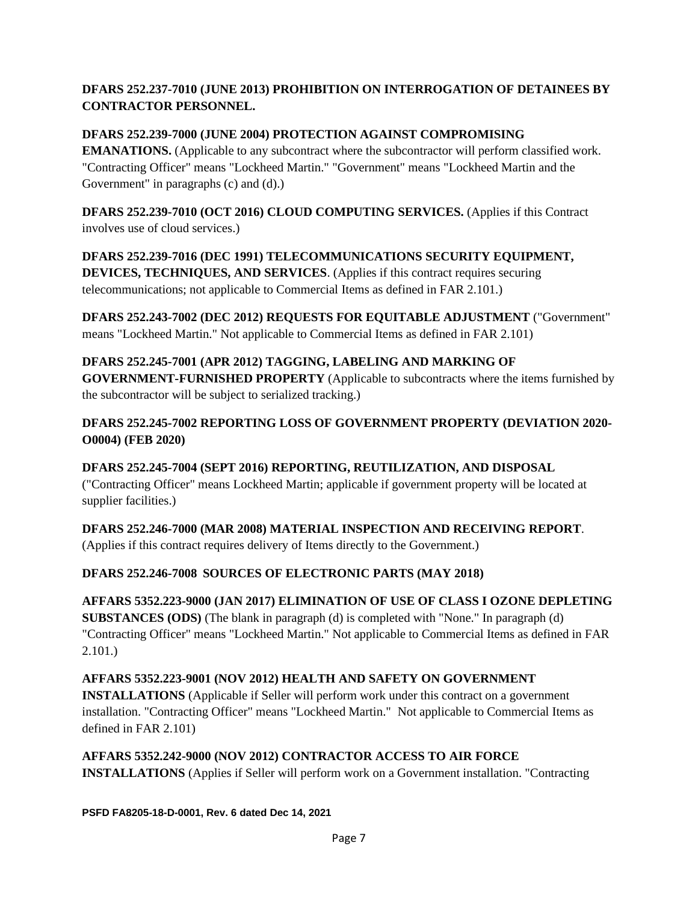#### **DFARS 252.237-7010 (JUNE 2013) PROHIBITION ON INTERROGATION OF DETAINEES BY CONTRACTOR PERSONNEL.**

## **DFARS 252.239-7000 (JUNE 2004) PROTECTION AGAINST COMPROMISING**

**EMANATIONS.** (Applicable to any subcontract where the subcontractor will perform classified work. "Contracting Officer" means "Lockheed Martin." "Government" means "Lockheed Martin and the Government" in paragraphs (c) and (d).)

**DFARS 252.239-7010 (OCT 2016) CLOUD COMPUTING SERVICES.** (Applies if this Contract involves use of cloud services.)

**DFARS 252.239-7016 (DEC 1991) TELECOMMUNICATIONS SECURITY EQUIPMENT, DEVICES, TECHNIQUES, AND SERVICES**. (Applies if this contract requires securing telecommunications; not applicable to Commercial Items as defined in FAR 2.101.)

**DFARS 252.243-7002 (DEC 2012) REQUESTS FOR EQUITABLE ADJUSTMENT** ("Government" means "Lockheed Martin." Not applicable to Commercial Items as defined in FAR 2.101)

**DFARS 252.245-7001 (APR 2012) TAGGING, LABELING AND MARKING OF GOVERNMENT-FURNISHED PROPERTY** (Applicable to subcontracts where the items furnished by the subcontractor will be subject to serialized tracking.)

# **DFARS 252.245-7002 REPORTING LOSS OF GOVERNMENT PROPERTY (DEVIATION 2020- O0004) (FEB 2020)**

# **DFARS 252.245-7004 (SEPT 2016) REPORTING, REUTILIZATION, AND DISPOSAL**

("Contracting Officer" means Lockheed Martin; applicable if government property will be located at supplier facilities.)

# **DFARS 252.246-7000 (MAR 2008) MATERIAL INSPECTION AND RECEIVING REPORT**.

(Applies if this contract requires delivery of Items directly to the Government.)

# **DFARS 252.246-7008 SOURCES OF ELECTRONIC PARTS (MAY 2018)**

**AFFARS 5352.223-9000 (JAN 2017) ELIMINATION OF USE OF CLASS I OZONE DEPLETING SUBSTANCES (ODS)** (The blank in paragraph (d) is completed with "None." In paragraph (d) "Contracting Officer" means "Lockheed Martin." Not applicable to Commercial Items as defined in FAR 2.101.)

# **AFFARS 5352.223-9001 (NOV 2012) HEALTH AND SAFETY ON GOVERNMENT**

**INSTALLATIONS** (Applicable if Seller will perform work under this contract on a government installation. "Contracting Officer" means "Lockheed Martin." Not applicable to Commercial Items as defined in FAR 2.101)

# **AFFARS 5352.242-9000 (NOV 2012) CONTRACTOR ACCESS TO AIR FORCE**

**INSTALLATIONS** (Applies if Seller will perform work on a Government installation. "Contracting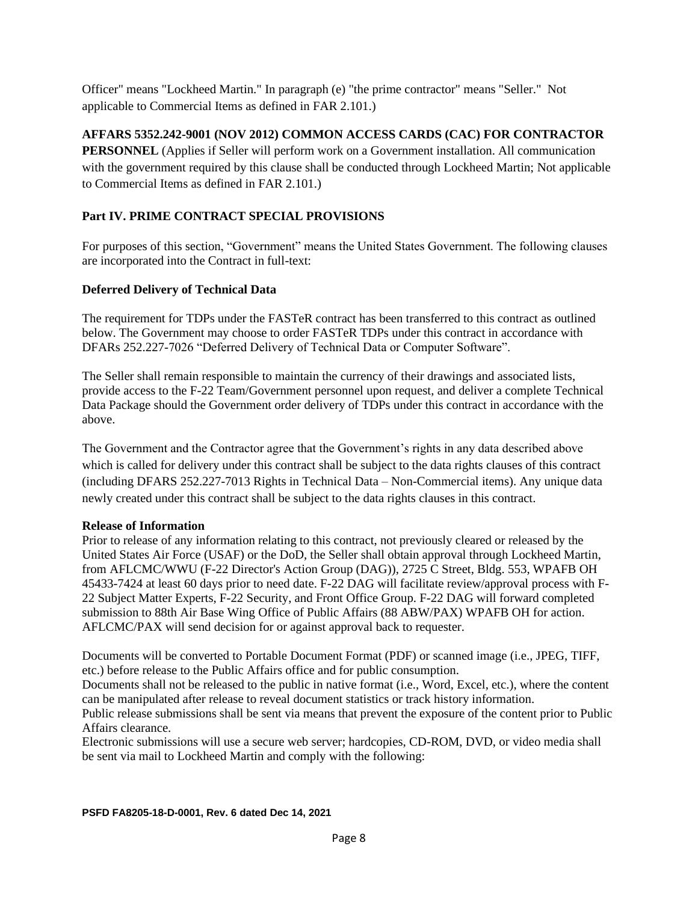Officer" means "Lockheed Martin." In paragraph (e) "the prime contractor" means "Seller." Not applicable to Commercial Items as defined in FAR 2.101.)

#### **AFFARS 5352.242-9001 (NOV 2012) COMMON ACCESS CARDS (CAC) FOR CONTRACTOR**

**PERSONNEL** (Applies if Seller will perform work on a Government installation. All communication with the government required by this clause shall be conducted through Lockheed Martin; Not applicable to Commercial Items as defined in FAR 2.101.)

# **Part IV. PRIME CONTRACT SPECIAL PROVISIONS**

For purposes of this section, "Government" means the United States Government. The following clauses are incorporated into the Contract in full-text:

#### **Deferred Delivery of Technical Data**

The requirement for TDPs under the FASTeR contract has been transferred to this contract as outlined below. The Government may choose to order FASTeR TDPs under this contract in accordance with DFARs 252.227-7026 "Deferred Delivery of Technical Data or Computer Software".

The Seller shall remain responsible to maintain the currency of their drawings and associated lists, provide access to the F-22 Team/Government personnel upon request, and deliver a complete Technical Data Package should the Government order delivery of TDPs under this contract in accordance with the above.

The Government and the Contractor agree that the Government's rights in any data described above which is called for delivery under this contract shall be subject to the data rights clauses of this contract (including DFARS 252.227-7013 Rights in Technical Data – Non-Commercial items). Any unique data newly created under this contract shall be subject to the data rights clauses in this contract.

#### **Release of Information**

Prior to release of any information relating to this contract, not previously cleared or released by the United States Air Force (USAF) or the DoD, the Seller shall obtain approval through Lockheed Martin, from AFLCMC/WWU (F-22 Director's Action Group (DAG)), 2725 C Street, Bldg. 553, WPAFB OH 45433-7424 at least 60 days prior to need date. F-22 DAG will facilitate review/approval process with F-22 Subject Matter Experts, F-22 Security, and Front Office Group. F-22 DAG will forward completed submission to 88th Air Base Wing Office of Public Affairs (88 ABW/PAX) WPAFB OH for action. AFLCMC/PAX will send decision for or against approval back to requester.

Documents will be converted to Portable Document Format (PDF) or scanned image (i.e., JPEG, TIFF, etc.) before release to the Public Affairs office and for public consumption.

Documents shall not be released to the public in native format (i.e., Word, Excel, etc.), where the content can be manipulated after release to reveal document statistics or track history information.

Public release submissions shall be sent via means that prevent the exposure of the content prior to Public Affairs clearance.

Electronic submissions will use a secure web server; hardcopies, CD-ROM, DVD, or video media shall be sent via mail to Lockheed Martin and comply with the following: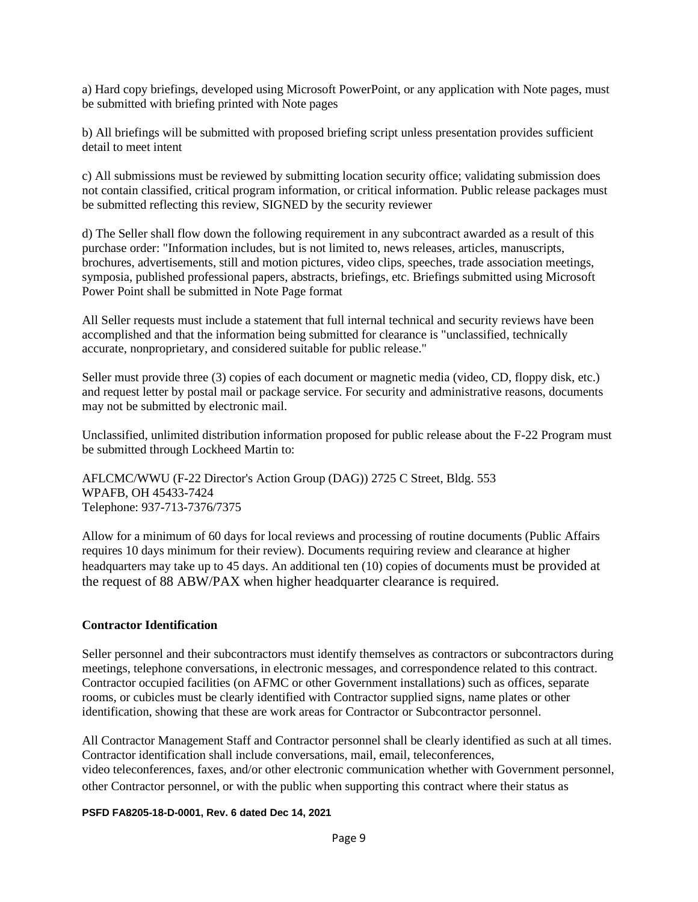a) Hard copy briefings, developed using Microsoft PowerPoint, or any application with Note pages, must be submitted with briefing printed with Note pages

b) All briefings will be submitted with proposed briefing script unless presentation provides sufficient detail to meet intent

c) All submissions must be reviewed by submitting location security office; validating submission does not contain classified, critical program information, or critical information. Public release packages must be submitted reflecting this review, SIGNED by the security reviewer

d) The Seller shall flow down the following requirement in any subcontract awarded as a result of this purchase order: "Information includes, but is not limited to, news releases, articles, manuscripts, brochures, advertisements, still and motion pictures, video clips, speeches, trade association meetings, symposia, published professional papers, abstracts, briefings, etc. Briefings submitted using Microsoft Power Point shall be submitted in Note Page format

All Seller requests must include a statement that full internal technical and security reviews have been accomplished and that the information being submitted for clearance is "unclassified, technically accurate, nonproprietary, and considered suitable for public release."

Seller must provide three (3) copies of each document or magnetic media (video, CD, floppy disk, etc.) and request letter by postal mail or package service. For security and administrative reasons, documents may not be submitted by electronic mail.

Unclassified, unlimited distribution information proposed for public release about the F-22 Program must be submitted through Lockheed Martin to:

AFLCMC/WWU (F-22 Director's Action Group (DAG)) 2725 C Street, Bldg. 553 WPAFB, OH 45433-7424 Telephone: 937-713-7376/7375

Allow for a minimum of 60 days for local reviews and processing of routine documents (Public Affairs requires 10 days minimum for their review). Documents requiring review and clearance at higher headquarters may take up to 45 days. An additional ten (10) copies of documents must be provided at the request of 88 ABW/PAX when higher headquarter clearance is required.

#### **Contractor Identification**

Seller personnel and their subcontractors must identify themselves as contractors or subcontractors during meetings, telephone conversations, in electronic messages, and correspondence related to this contract. Contractor occupied facilities (on AFMC or other Government installations) such as offices, separate rooms, or cubicles must be clearly identified with Contractor supplied signs, name plates or other identification, showing that these are work areas for Contractor or Subcontractor personnel.

All Contractor Management Staff and Contractor personnel shall be clearly identified as such at all times. Contractor identification shall include conversations, mail, email, teleconferences, video teleconferences, faxes, and/or other electronic communication whether with Government personnel, other Contractor personnel, or with the public when supporting this contract where their status as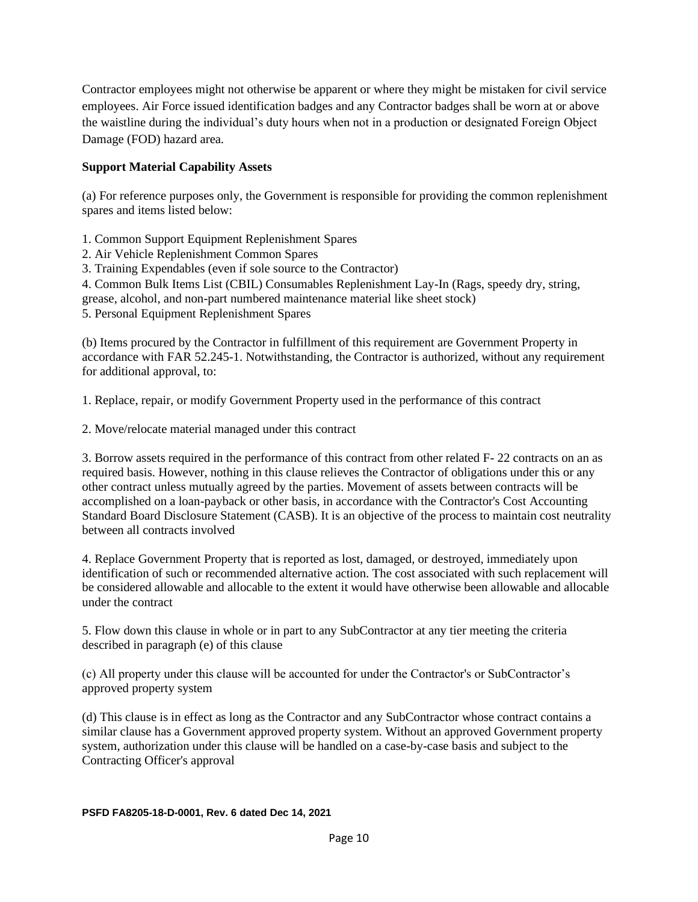Contractor employees might not otherwise be apparent or where they might be mistaken for civil service employees. Air Force issued identification badges and any Contractor badges shall be worn at or above the waistline during the individual's duty hours when not in a production or designated Foreign Object Damage (FOD) hazard area.

#### **Support Material Capability Assets**

(a) For reference purposes only, the Government is responsible for providing the common replenishment spares and items listed below:

1. Common Support Equipment Replenishment Spares

2. Air Vehicle Replenishment Common Spares

3. Training Expendables (even if sole source to the Contractor)

4. Common Bulk Items List (CBIL) Consumables Replenishment Lay-In (Rags, speedy dry, string,

grease, alcohol, and non-part numbered maintenance material like sheet stock)

5. Personal Equipment Replenishment Spares

(b) Items procured by the Contractor in fulfillment of this requirement are Government Property in accordance with FAR 52.245-1. Notwithstanding, the Contractor is authorized, without any requirement for additional approval, to:

1. Replace, repair, or modify Government Property used in the performance of this contract

2. Move/relocate material managed under this contract

3. Borrow assets required in the performance of this contract from other related F- 22 contracts on an as required basis. However, nothing in this clause relieves the Contractor of obligations under this or any other contract unless mutually agreed by the parties. Movement of assets between contracts will be accomplished on a loan-payback or other basis, in accordance with the Contractor's Cost Accounting Standard Board Disclosure Statement (CASB). It is an objective of the process to maintain cost neutrality between all contracts involved

4. Replace Government Property that is reported as lost, damaged, or destroyed, immediately upon identification of such or recommended alternative action. The cost associated with such replacement will be considered allowable and allocable to the extent it would have otherwise been allowable and allocable under the contract

5. Flow down this clause in whole or in part to any SubContractor at any tier meeting the criteria described in paragraph (e) of this clause

(c) All property under this clause will be accounted for under the Contractor's or SubContractor's approved property system

(d) This clause is in effect as long as the Contractor and any SubContractor whose contract contains a similar clause has a Government approved property system. Without an approved Government property system, authorization under this clause will be handled on a case-by-case basis and subject to the Contracting Officer's approval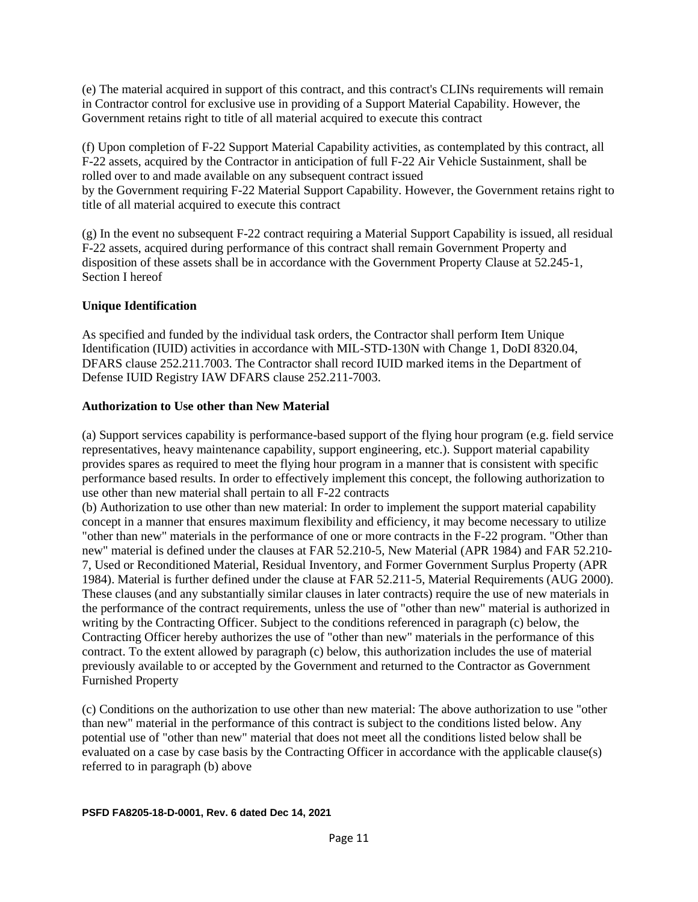(e) The material acquired in support of this contract, and this contract's CLINs requirements will remain in Contractor control for exclusive use in providing of a Support Material Capability. However, the Government retains right to title of all material acquired to execute this contract

(f) Upon completion of F-22 Support Material Capability activities, as contemplated by this contract, all F-22 assets, acquired by the Contractor in anticipation of full F-22 Air Vehicle Sustainment, shall be rolled over to and made available on any subsequent contract issued by the Government requiring F-22 Material Support Capability. However, the Government retains right to title of all material acquired to execute this contract

(g) In the event no subsequent F-22 contract requiring a Material Support Capability is issued, all residual F-22 assets, acquired during performance of this contract shall remain Government Property and disposition of these assets shall be in accordance with the Government Property Clause at 52.245-1, Section I hereof

#### **Unique Identification**

As specified and funded by the individual task orders, the Contractor shall perform Item Unique Identification (IUID) activities in accordance with MIL-STD-130N with Change 1, DoDI 8320.04, DFARS clause 252.211.7003. The Contractor shall record IUID marked items in the Department of Defense IUID Registry IAW DFARS clause 252.211-7003.

#### **Authorization to Use other than New Material**

(a) Support services capability is performance-based support of the flying hour program (e.g. field service representatives, heavy maintenance capability, support engineering, etc.). Support material capability provides spares as required to meet the flying hour program in a manner that is consistent with specific performance based results. In order to effectively implement this concept, the following authorization to use other than new material shall pertain to all F-22 contracts

(b) Authorization to use other than new material: In order to implement the support material capability concept in a manner that ensures maximum flexibility and efficiency, it may become necessary to utilize "other than new" materials in the performance of one or more contracts in the F-22 program. "Other than new" material is defined under the clauses at FAR 52.210-5, New Material (APR 1984) and FAR 52.210- 7, Used or Reconditioned Material, Residual Inventory, and Former Government Surplus Property (APR 1984). Material is further defined under the clause at FAR 52.211-5, Material Requirements (AUG 2000). These clauses (and any substantially similar clauses in later contracts) require the use of new materials in the performance of the contract requirements, unless the use of "other than new" material is authorized in writing by the Contracting Officer. Subject to the conditions referenced in paragraph (c) below, the Contracting Officer hereby authorizes the use of "other than new" materials in the performance of this contract. To the extent allowed by paragraph (c) below, this authorization includes the use of material previously available to or accepted by the Government and returned to the Contractor as Government Furnished Property

(c) Conditions on the authorization to use other than new material: The above authorization to use "other than new" material in the performance of this contract is subject to the conditions listed below. Any potential use of "other than new" material that does not meet all the conditions listed below shall be evaluated on a case by case basis by the Contracting Officer in accordance with the applicable clause(s) referred to in paragraph (b) above